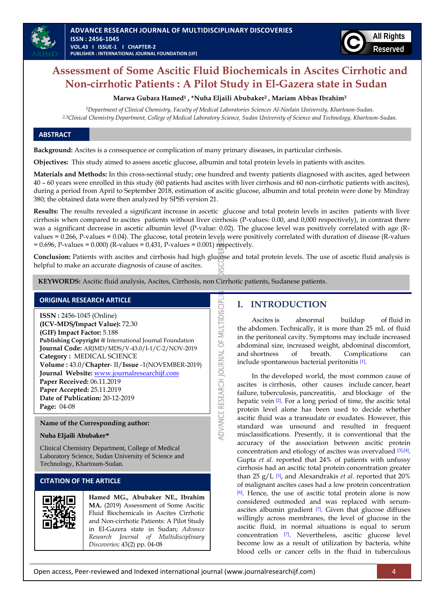

# **Assessment of Some Ascitic Fluid Biochemicals in Ascites Cirrhotic and Non-cirrhotic Patients : A Pilot Study in El-Gazera state in Sudan**

**Marwa Gubara Hamed<sup>1</sup> , \*Nuha Eljaili Abubaker<sup>2</sup> , Mariam Abbas Ibrahim<sup>3</sup>**

*1Department of Clinical Chemistry, Faculty of Medical Laboratories Sciences Al-Neelain University, Khartoum-Sudan. 2,3Clinical Chemistry Department, College of Medical Laboratory Science, Sudan University of Science and Technology, Khartoum-Sudan.*

#### **ABSTRACT**

**Background:** Ascites is a consequence or complication of many primary diseases, in particular cirrhosis.

**Objectives:** This study aimed to assess ascetic glucose, albumin and total protein levels in patients with ascites.

**Materials and Methods:** In this cross-sectional study; one hundred and twenty patients diagnosed with ascites, aged between 40 – 60 years were enrolled in this study (60 patients had ascites with liver cirrhosis and 60 non-cirrhotic patients with ascites), during a period from April to September 2018, estimation of ascitic glucose, albumin and total protein were done by Mindray 380; the obtained data were then analyzed by SPSS version 21.

**Results:** The results revealed a significant increase in ascetic glucose and total protein levels in ascites patients with liver cirrhosis when compared to ascites patients without liver cirrhosis (P-values: 0.00, and 0,000 respectively), in contrast there was a significant decrease in ascetic albumin level (P-value: 0.02). The glucose level was positively correlated with age (Rvalues = 0.266, P-values = 0.04). The glucose, total protein levels were positively correlated with duration of disease (R-values  $= 0.696$ , P-values = 0.000) (R-values = 0.431, P-values = 0.001) respectively.

**Conclusion:** Patients with ascites and cirrhosis had high glucose and total protein levels. The use of ascetic fluid analysis is helpful to make an accurate diagnosis of cause of ascites.

ADVANCE RESEARCH JOURNAL OF MULTIDISCIPL

**KEYWORDS:** Ascitic fluid analysis, Ascites, Cirrhosis, non Cirrhotic patients, Sudanese patients.

## **ORIGINAL RESEARCH ARTICLE**

**ISSN :** 2456-1045 (Online) **(ICV-MDS/Impact Value):** 72.30 **(GIF) Impact Factor:** 5.188 **Publishing Copyright @** International Journal Foundation **Journal Code:** ARJMD/MDS/V-43.0/I-1/C-2/NOV-2019 **Category :** MEDICAL SCIENCE **Volume :** 43.0/**Chapter**- II/**Issue** -1(NOVEMBER-2019) **Journal Website:** [www.journalresearchijf.com](http://www.journalresearchijf.com/) **Paper Received:** 06.11.2019 **Paper Accepted:** 25.11.2019 **Date of Publication:** 20-12-2019 **Page:** 04-08

#### **Name of the Corresponding author:**

#### **Nuha Eljaili Abubaker\***

Clinical Chemistry Department, College of Medical Laboratory Science, Sudan University of Science and Technology, Khartoum-Sudan.

## **CITATION OF THE ARTICLE**



**Hamed MG., Abubaker NE., Ibrahim MA.** (2019) Assessment of Some Ascitic Fluid Biochemicals in Ascites Cirrhotic and Non-cirrhotic Patients: A Pilot Study in El-Gazera state in Sudan; *Advance Research Journal of Multidisciplinary Discoveries;* 43(2) pp. 04-08

## **I. INTRODUCTION**

Ascites is abnormal buildup of [fluid](https://en.wikipedia.org/wiki/Liquid) in the [abdomen.](https://en.wikipedia.org/wiki/Abdomen) Technically, it is more than 25 mL of fluid in the [peritoneal cavity.](https://en.wikipedia.org/wiki/Peritoneal_cavity) Symptoms may include increased abdominal size, increased weight, abdominal discomfort, and [shortness of breath.](https://en.wikipedia.org/wiki/Shortness_of_breath) Complications can include [spontaneous bacterial peritonitis](https://en.wikipedia.org/wiki/Spontaneous_bacterial_peritonitis) [\[1\]](#page-3-0) .

In the [developed world,](https://en.wikipedia.org/wiki/Developed_world) the most common cause of ascites is cirrhosis, other causes include [cancer,](https://en.wikipedia.org/wiki/Cancer) [heart](https://en.wikipedia.org/wiki/Heart_failure)  [failure,](https://en.wikipedia.org/wiki/Heart_failure) [tuberculosis,](https://en.wikipedia.org/wiki/Tuberculosis) [pancreatitis,](https://en.wikipedia.org/wiki/Pancreatitis) and [blockage of the](https://en.wikipedia.org/wiki/Budd%E2%80%93Chiari_syndrome)  [hepatic vein](https://en.wikipedia.org/wiki/Budd%E2%80%93Chiari_syndrome) [\[2\]](#page-3-1). For a long period of time, the ascitic total protein level alone has been used to decide whether ascitic fluid was a transudate or exudates. However, this standard was unsound and resulted in frequent misclassifications. Presently, it is conventional that the accuracy of the association between ascitic protein concentration and etiology of ascites was overvalued [\[3\],](#page-3-2)[\[4\]](#page-3-3) Gupta *et al*. reported that 24% of patients with unfussy cirrhosis had an ascitic total protein concentration greater than 25 g/L [\[5\]](#page-3-4), and Alexandrakis *et al*. reported that 20% of malignant ascites cases had a low protein concentration [\[6\]](#page-3-5). Hence, the use of ascitic total protein alone is now considered outmoded and was replaced with serum-ascites albumin gradient [\[7\]](#page-3-6). Given that glucose diffuses willingly across membranes, the level of glucose in the ascitic fluid, in normal situations is equal to serum concentration [\[7\]](#page-3-6). Nevertheless, ascitic glucose level become low as a result of utilization by bacteria, white blood cells or cancer cells in the fluid in tuberculous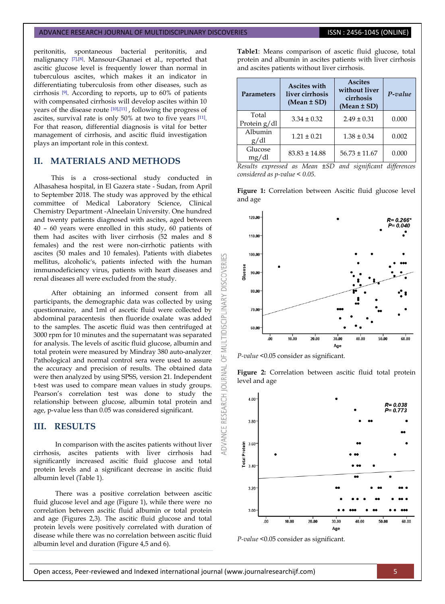#### ADVANCE RESEARCH JOURNAL OF MULTIDISCIPLINARY DISCOVERIES **ISSN : 2456-1045 (ONLINE)**

peritonitis, spontaneous bacterial peritonitis, and malignancy [\[7\],](#page-3-6)[\[8\]](#page-3-7). Mansour-Ghanaei et al., reported that ascitic glucose level is frequently lower than normal in tuberculous ascites, which makes it an indicator in differentiating tuberculosis from other diseases, such as cirrhosis [\[9\]](#page-3-8). According to reports, up to 60% of patients with compensated cirrhosis will develop ascites within 10 years of the disease route [\[10\],](#page-3-9)[\[11\]](#page-3-10) , following the progress of ascites, survival rate is only 50% at two to five years [\[11\]](#page-3-10). For that reason, differential diagnosis is vital for better management of cirrhosis, and ascitic fluid investigation plays an important role in this context.

## **II. MATERIALS AND METHODS**

This is a cross-sectional study conducted in Alhasahesa hospital, in El Gazera state - Sudan, from April to September 2018. The study was approved by the ethical committee of Medical Laboratory Science, Clinical Chemistry Department -Alneelain University. One hundred and twenty patients diagnosed with ascites, aged between 40 – 60 years were enrolled in this study, 60 patients of them had ascites with liver cirrhosis (52 males and 8 females) and the rest were non-cirrhotic patients with ascites (50 males and 10 females). Patients with diabetes mellitus, alcoholic's, patients infected with the human immunodeficiency virus, patients with heart diseases and renal diseases all were excluded from the study.

After obtaining an informed consent from all participants, the demographic data was collected by using questionnaire, and 1ml of ascetic fluid were collected by abdominal paracentesis then fluoride oxalate was added to the samples. The ascetic fluid was then centrifuged at 3000 rpm for 10 minutes and the supernatant was separated for analysis. The levels of ascitic fluid glucose, albumin and total protein were measured by Mindray 380 auto-analyzer. Pathological and normal control sera were used to assure the accuracy and precision of results. The obtained data were then analyzed by using SPSS, version 21. Independent t-test was used to compare mean values in study groups. Pearson's correlation test was done to study the relationship between glucose, albumin total protein and age, p-value less than 0.05 was considered significant.

## **III. RESULTS**

In comparison with the ascites patients without liver cirrhosis, ascites patients with liver cirrhosis had significantly increased ascitic fluid glucose and total protein levels and a significant decrease in ascitic fluid albumin level (Table 1).

There was a positive correlation between ascitic fluid glucose level and age (Figure 1), while there were no correlation between ascitic fluid albumin or total protein and age (Figures 2,3). The ascitic fluid glucose and total protein levels were positively correlated with duration of disease while there was no correlation between ascitic fluid albumin level and duration (Figure 4,5 and 6).

**Table1**: Means comparison of ascetic fluid glucose, total protein and albumin in ascites patients with liver cirrhosis and ascites patients without liver cirrhosis.

| <b>Parameters</b>     | <b>Ascites with</b><br>liver cirrhosis<br>$(Mean \pm SD)$ | <b>Ascites</b><br>without liver<br>cirrhosis<br>$(Mean \pm SD)$ | P-value |
|-----------------------|-----------------------------------------------------------|-----------------------------------------------------------------|---------|
| Total<br>Protein g/dl | $3.34 \pm 0.32$                                           | $2.49 \pm 0.31$                                                 | 0.000   |
| Albumin<br>g/dl       | $1.21 \pm 0.21$                                           | $1.38 \pm 0.34$                                                 | 0.002   |
| Glucose<br>mg/dl      | $83.83 \pm 14.88$                                         | $56.73 \pm 11.67$                                               | 0.000   |

*Results expressed as Mean ±SD and significant differences considered as p-value < 0.05.*

**Figure 1:** Correlation between Ascitic fluid glucose level



*P-value* <0.05 consider as significant.

and age

DISC

**IDISCIPLINARY** 

5

**JAWRICUR** 

ADVANCE RESEARCH

**Figure 2:** Correlation between ascitic fluid total protein level and age



*P-value* <0.05 consider as significant.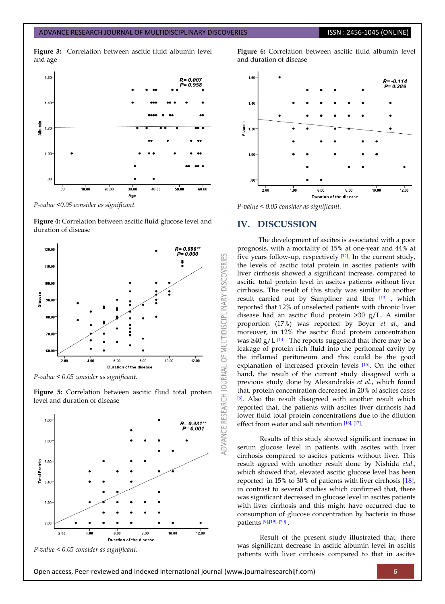**Figure 3:** Correlation between ascitic fluid albumin level and age



*P-value <0.05 consider as significant.*

**Figure 4:** Correlation between ascitic fluid glucose level and duration of disease



*P-value < 0.05 consider as significant.*

**Figure 5:** Correlation between ascitic fluid total protein level and duration of disease







*P-value < 0.05 consider as significant.*

## **IV. DISCUSSION**

IES

OF MULTIDISCIPLINARY DISCOVERI

**JOURNAL** 

The development of ascites is associated with a poor prognosis, with a mortality of 15% at one-year and 44% at five years follow-up, respectively [\[12\]](#page-3-11) . In the current study, the levels of ascitic total protein in ascites patients with liver cirrhosis showed a significant increase, compared to ascitic total protein level in ascites patients without liver cirrhosis. The result of this study was similar to another result carried out by Sampliner and Iber [\[13\]](#page-3-12) , which reported that 12% of unselected patients with chronic liver disease had an ascitic fluid protein >30 g/L. A similar proportion (17%) was reported by Boyer *et al.*, and moreover, in 12% the ascitic fluid protein concentration was ≥40 g/L  $[14]$ . The reports suggested that there may be a leakage of protein rich fluid into the peritoneal cavity by the inflamed peritoneum and this could be the good explanation of increased protein levels [\[15\]](#page-3-14). On the other hand, the result of the current study disagreed with a previous study done by Alexandrakis *et al*., which found that, protein concentration decreased in 20% of ascites cases [\[6\]](#page-3-5). Also the result disagreed with another result which reported that, the patients with ascites liver cirrhosis had lower fluid total protein concentrations due to the dilution effect from water and salt retention [\[16\],](#page-3-15) [\[17\]](#page-3-16) .

Results of this study showed significant increase in serum glucose level in patients with ascites with liver cirrhosis compared to ascites patients without liver. This result agreed with another result done by Nishida *etal*., which showed that, elevated ascitic glucose level has been reported in 15% to 30% of patients with liver cirrhosis [\[18\],](#page-3-17)  in contrast to several studies which confirmed that, there was significant decreased in glucose level in ascites patients with liver cirrhosis and this might have occurred due to consumption of glucose concentration by bacteria in those patients [\[9\],](#page-3-8)[\[19\],](#page-3-18) [\[20\]](#page-4-0) .

Result of the present study illustrated that, there was significant decrease in ascitic albumin level in ascitis patients with liver cirrhosis compared to that in ascites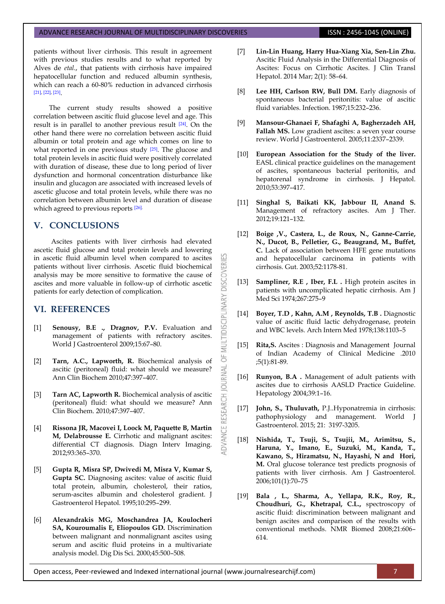#### ADVANCE RESEARCH JOURNAL OF MULTIDISCIPLINARY DISCOVERIES **ISSN : 2456-1045 (ONLINE)**

patients without liver cirrhosis. This result in agreement with previous studies results and to what reported by Alves de *etal*., that patients with cirrhosis have impaired hepatocellular function and reduced albumin synthesis, which can reach a 60-80% reduction in advanced cirrhosis [\[21\],](#page-4-1) [\[22\],](#page-4-2) [\[23\]](#page-4-3) .

The current study results showed a positive correlation between ascitic fluid glucose level and age. This result is in parallel to another previous result [\[24\]](#page-4-4). On the other hand there were no correlation between ascitic fluid albumin or total protein and age which comes on line to what reported in one previous study  $[25]$ . The glucose and total protein levels in ascitic fluid were positively correlated with duration of disease, these due to long period of liver dysfunction and hormonal concentration disturbance like insulin and glucagon are associated with increased levels of ascetic glucose and total protein levels, while there was no correlation between albumin level and duration of disease which agreed to previous reports [\[26\].](#page-4-6)

## **V. CONCLUSIONS**

Ascites patients with liver cirrhosis had elevated ascetic fluid glucose and total protein levels and lowering in ascetic fluid albumin level when compared to ascites patients without liver cirrhosis. Ascetic fluid biochemical analysis may be more sensitive to formative the cause of ascites and more valuable in follow-up of cirrhotic ascetic patients for early detection of complication.

**DISCOVERI** 

MULTIDISCIPLINARY

 $\overline{5}$ 

JOURNAL

RESEARCH

**DVANCE** 

## **VI. REFERENCES**

- <span id="page-3-0"></span>[1] **Senousy, B.E ., Dragnov, P.V.** Evaluation and management of patients with refractory ascites. World J Gastroenterol 2009;15:67–80.
- <span id="page-3-1"></span>[2] **Tarn, A.C., Lapworth, R.** Biochemical analysis of ascitic (peritoneal) fluid: what should we measure? Ann Clin Biochem 2010;47:397–407.
- <span id="page-3-2"></span>[3] **Tarn AC, Lapworth R.** Biochemical analysis of ascitic (peritoneal) fluid: what should we measure? Ann Clin Biochem. 2010;47:397–407.
- <span id="page-3-3"></span>[4] **Rissona JR, Macovei I, Loock M, Paquette B, Martin M, Delabrousse E.** Cirrhotic and malignant ascites: differential CT diagnosis. Diagn Interv Imaging. 2012;93:365–370.
- <span id="page-3-4"></span>[5] **Gupta R, Misra SP, Dwivedi M, Misra V, Kumar S, Gupta SC.** Diagnosing ascites: value of ascitic fluid total protein, albumin, cholesterol, their ratios, serum-ascites albumin and cholesterol gradient. J Gastroenterol Hepatol. 1995;10:295–299.
- <span id="page-3-5"></span>[6] **Alexandrakis MG, Moschandrea JA, Koulocheri SA, Kouroumalis E, Eliopoulos GD.** Discrimination between malignant and nonmalignant ascites using serum and ascitic fluid proteins in a multivariate analysis model. Dig Dis Sci. 2000;45:500–508.
- <span id="page-3-6"></span>[7] **Lin-Lin Huang, Harry Hua-Xiang Xia, Sen-Lin Zhu.** Ascitic Fluid Analysis in the Differential Diagnosis of Ascites: Focus on Cirrhotic Ascites. J Clin Transl Hepatol. 2014 Mar; 2(1): 58–64.
- <span id="page-3-7"></span>[8] Lee HH, Carlson RW, Bull DM. Early diagnosis of spontaneous bacterial peritonitis: value of ascitic fluid variables. Infection. 1987;15:232–236.
- <span id="page-3-8"></span>[9] **Mansour-Ghanaei F, Shafaghi A, Bagherzadeh AH,**  Fallah MS. Low gradient ascites: a seven year course review. World J Gastroenterol. 2005;11:2337–2339.
- <span id="page-3-9"></span>[10] **European Association for the Study of the liver.** EASL clinical practice guidelines on the management of ascites, spontaneous bacterial peritonitis, and hepatorenal syndrome in cirrhosis. J Hepatol. 2010;53:397–417.
- <span id="page-3-10"></span>[11] **Singhal S, Baikati KK, Jabbour II, Anand S.** Management of refractory ascites. Am J Ther. 2012;19:121–132.
- <span id="page-3-11"></span>[12] **Boige ,V., Castera, L., de Roux, N., Ganne-Carrie, N., Ducot, B., Pelletier, G., Beaugrand, M., Buffet, C.** Lack of association between HFE gene mutations and hepatocellular carcinoma in patients with cirrhosis. Gut. 2003;52:1178-81.
- <span id="page-3-12"></span>[13] **Sampliner, R.E**, Iber, F.L. High protein ascites in patients with uncomplicated hepatic cirrhosis. Am J Med Sci 1974;267:275–9
- <span id="page-3-13"></span>[14] **Boyer, T.D , Kahn, A.M , Reynolds, T.B .** Diagnostic value of ascitic fluid lactic dehydrogenase, protein and WBC levels. Arch Intern Med 1978;138:1103–5
- <span id="page-3-14"></span>[15] **Rita,S.** Ascites : Diagnosis and Management Journal of Indian Academy of Clinical Medicine .2010 ;5(1):81-89.
- <span id="page-3-15"></span>[16] **Runyon, B.A .** Management of adult patients with ascites due to cirrhosis AASLD Practice Guideline. Hepatology 2004;39:1–16.
- <span id="page-3-16"></span>[17] **John, S., Thuluvath,** P.J..Hyponatremia in cirrhosis: pathophysiology and management. World J Gastroenterol. 2015; 21: 3197-3205.
- <span id="page-3-17"></span>[18] **Nishida, T., Tsuji, S., Tsujii, M., Arimitsu, S., Haruna, Y., Imano, E., Suzuki, M., Kanda, T., Kawano, S., Hiramatsu, N., Hayashi, N and Hori, M.** Oral glucose tolerance test predicts prognosis of patients with liver cirrhosis. Am J Gastroenterol. 2006;101(1):70–75
- <span id="page-3-18"></span>[19] **Bala , L., Sharma, A., Yellapa, R.K., Roy, R., Choudhuri, G., Khetrapal, C.L.,** spectroscopy of ascitic fluid: discrimination between malignant and benign ascites and comparison of the results with conventional methods. NMR Biomed 2008;21:606– 614.

Open access, Peer-reviewed and Indexed international journal (www.journalresearchijf.com) 7